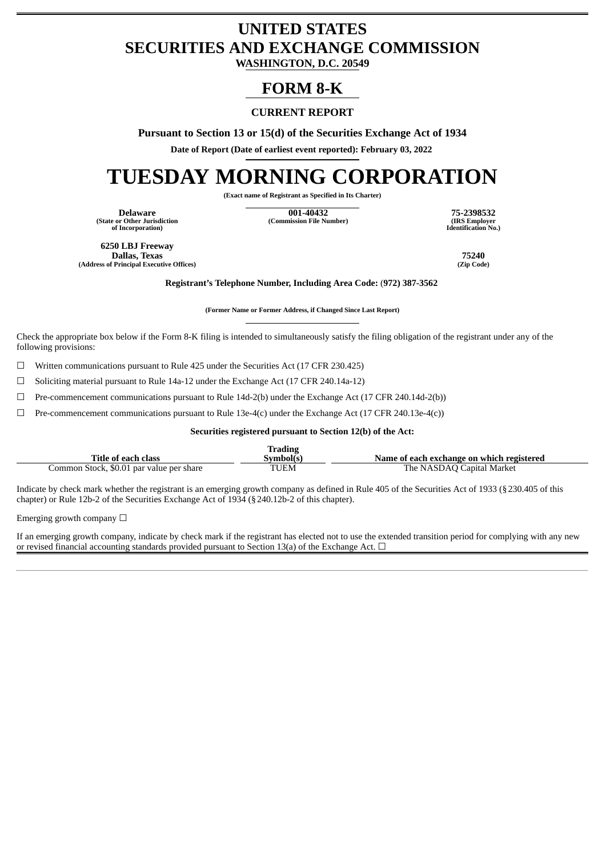## **UNITED STATES SECURITIES AND EXCHANGE COMMISSION**

**WASHINGTON, D.C. 20549**

### **FORM 8-K**

#### **CURRENT REPORT**

**Pursuant to Section 13 or 15(d) of the Securities Exchange Act of 1934**

**Date of Report (Date of earliest event reported): February 03, 2022**

# **TUESDAY MORNING CORPORATION**

**(Exact name of Registrant as Specified in Its Charter)**

**(State or Other Jurisdiction of Incorporation)**

**Delaware 001-40432 75-2398532 (Commission File Number) (IRS Employer**

**Identification No.)**

**6250 LBJ Freeway Dallas, Texas 75240 (Address of Principal Executive Offices) (Zip Code)**

**Registrant's Telephone Number, Including Area Code:** (**972) 387-3562**

**(Former Name or Former Address, if Changed Since Last Report)**

Check the appropriate box below if the Form 8-K filing is intended to simultaneously satisfy the filing obligation of the registrant under any of the following provisions:

 $\Box$  Written communications pursuant to Rule 425 under the Securities Act (17 CFR 230.425)

☐ Soliciting material pursuant to Rule 14a-12 under the Exchange Act (17 CFR 240.14a-12)

 $\Box$  Pre-commencement communications pursuant to Rule 14d-2(b) under the Exchange Act (17 CFR 240.14d-2(b))

 $\Box$  Pre-commencement communications pursuant to Rule 13e-4(c) under the Exchange Act (17 CFR 240.13e-4(c))

**Securities registered pursuant to Section 12(b) of the Act:**

|                                          | Trading   |                                           |
|------------------------------------------|-----------|-------------------------------------------|
| Title of each class                      | Svmbol(s) | Name of each exchange on which registered |
| Common Stock, \$0.01 par value per share | TUEM      | The NASDAQ Capital Market                 |

Indicate by check mark whether the registrant is an emerging growth company as defined in Rule 405 of the Securities Act of 1933 (§230.405 of this chapter) or Rule 12b-2 of the Securities Exchange Act of 1934 (§240.12b-2 of this chapter).

Emerging growth company  $\Box$ 

If an emerging growth company, indicate by check mark if the registrant has elected not to use the extended transition period for complying with any new or revised financial accounting standards provided pursuant to Section 13(a) of the Exchange Act.  $\Box$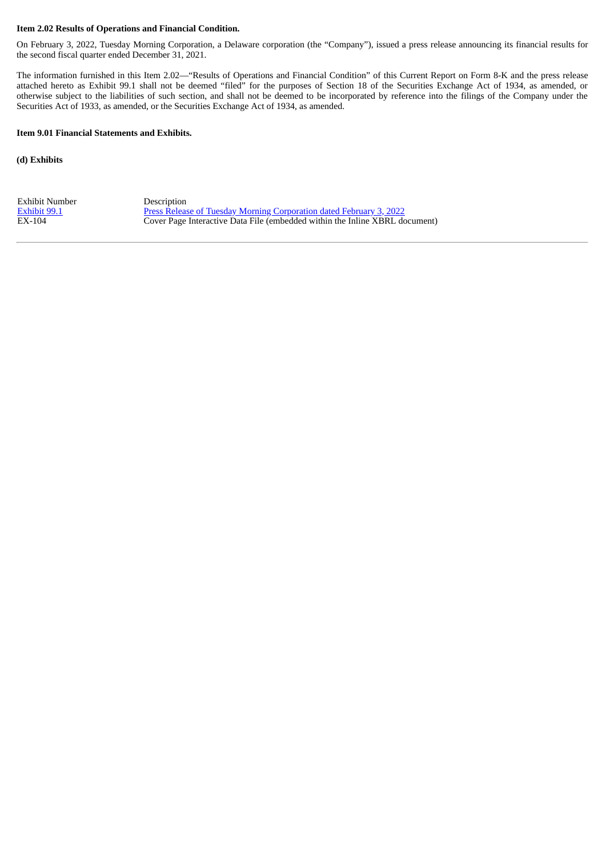#### **Item 2.02 Results of Operations and Financial Condition.**

On February 3, 2022, Tuesday Morning Corporation, a Delaware corporation (the "Company"), issued a press release announcing its financial results for the second fiscal quarter ended December 31, 2021.

The information furnished in this Item 2.02—"Results of Operations and Financial Condition" of this Current Report on Form 8-K and the press release attached hereto as Exhibit 99.1 shall not be deemed "filed" for the purposes of Section 18 of the Securities Exchange Act of 1934, as amended, or otherwise subject to the liabilities of such section, and shall not be deemed to be incorporated by reference into the filings of the Company under the Securities Act of 1933, as amended, or the Securities Exchange Act of 1934, as amended.

#### **Item 9.01 Financial Statements and Exhibits.**

**(d) Exhibits**

Exhibit Number<br>
Exhibit 99.1 Press Releas

[Exhibit](#page-3-0) 99.1 Press Release of Tuesday Morning [Corporation](#page-3-0) dated February 3, 2022<br>EX-104 Cover Page Interactive Data File (embedded within the Inline XBRL do **Cover Page Interactive Data File (embedded within the Inline XBRL document)**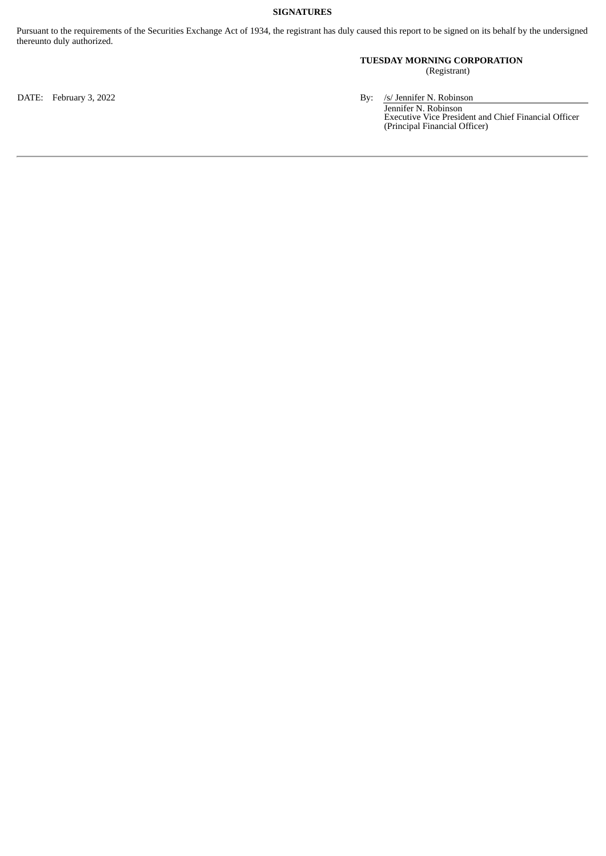#### **SIGNATURES**

Pursuant to the requirements of the Securities Exchange Act of 1934, the registrant has duly caused this report to be signed on its behalf by the undersigned thereunto duly authorized.

#### **TUESDAY MORNING CORPORATION**

(Registrant)

DATE: February 3, 2022 **By:** /s/ Jennifer N. Robinson

Jennifer N. Robinson Executive Vice President and Chief Financial Officer (Principal Financial Officer)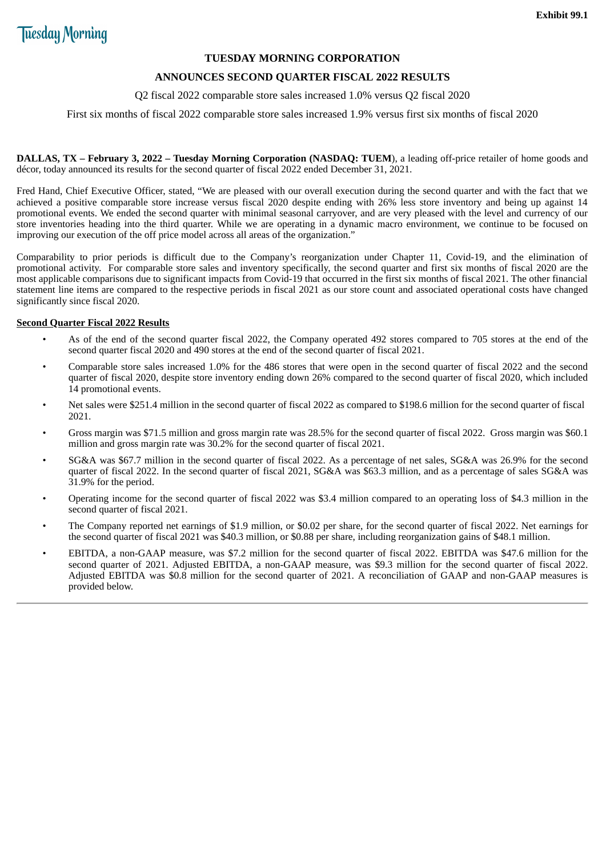#### **TUESDAY MORNING CORPORATION**

#### **ANNOUNCES SECOND QUARTER FISCAL 2022 RESULTS**

#### Q2 fiscal 2022 comparable store sales increased 1.0% versus Q2 fiscal 2020

<span id="page-3-0"></span>First six months of fiscal 2022 comparable store sales increased 1.9% versus first six months of fiscal 2020

**DALLAS, TX – February 3, 2022 – Tuesday Morning Corporation (NASDAQ: TUEM**), a leading off-price retailer of home goods and décor, today announced its results for the second quarter of fiscal 2022 ended December 31, 2021.

Fred Hand, Chief Executive Officer, stated, "We are pleased with our overall execution during the second quarter and with the fact that we achieved a positive comparable store increase versus fiscal 2020 despite ending with 26% less store inventory and being up against 14 promotional events. We ended the second quarter with minimal seasonal carryover, and are very pleased with the level and currency of our store inventories heading into the third quarter. While we are operating in a dynamic macro environment, we continue to be focused on improving our execution of the off price model across all areas of the organization."

Comparability to prior periods is difficult due to the Company's reorganization under Chapter 11, Covid-19, and the elimination of promotional activity. For comparable store sales and inventory specifically, the second quarter and first six months of fiscal 2020 are the most applicable comparisons due to significant impacts from Covid-19 that occurred in the first six months of fiscal 2021. The other financial statement line items are compared to the respective periods in fiscal 2021 as our store count and associated operational costs have changed significantly since fiscal 2020.

#### **Second Quarter Fiscal 2022 Results**

- As of the end of the second quarter fiscal 2022, the Company operated 492 stores compared to 705 stores at the end of the second quarter fiscal 2020 and 490 stores at the end of the second quarter of fiscal 2021.
- Comparable store sales increased 1.0% for the 486 stores that were open in the second quarter of fiscal 2022 and the second quarter of fiscal 2020, despite store inventory ending down 26% compared to the second quarter of fiscal 2020, which included 14 promotional events.
- Net sales were \$251.4 million in the second quarter of fiscal 2022 as compared to \$198.6 million for the second quarter of fiscal 2021.
- Gross margin was \$71.5 million and gross margin rate was 28.5% for the second quarter of fiscal 2022. Gross margin was \$60.1 million and gross margin rate was 30.2% for the second quarter of fiscal 2021.
- SG&A was \$67.7 million in the second quarter of fiscal 2022. As a percentage of net sales, SG&A was 26.9% for the second quarter of fiscal 2022. In the second quarter of fiscal 2021, SG&A was \$63.3 million, and as a percentage of sales SG&A was 31.9% for the period.
- Operating income for the second quarter of fiscal 2022 was \$3.4 million compared to an operating loss of \$4.3 million in the second quarter of fiscal 2021.
- The Company reported net earnings of \$1.9 million, or \$0.02 per share, for the second quarter of fiscal 2022. Net earnings for the second quarter of fiscal 2021 was \$40.3 million, or \$0.88 per share, including reorganization gains of \$48.1 million.
- EBITDA, a non-GAAP measure, was \$7.2 million for the second quarter of fiscal 2022. EBITDA was \$47.6 million for the second quarter of 2021. Adjusted EBITDA, a non-GAAP measure, was \$9.3 million for the second quarter of fiscal 2022. Adjusted EBITDA was \$0.8 million for the second quarter of 2021. A reconciliation of GAAP and non-GAAP measures is provided below.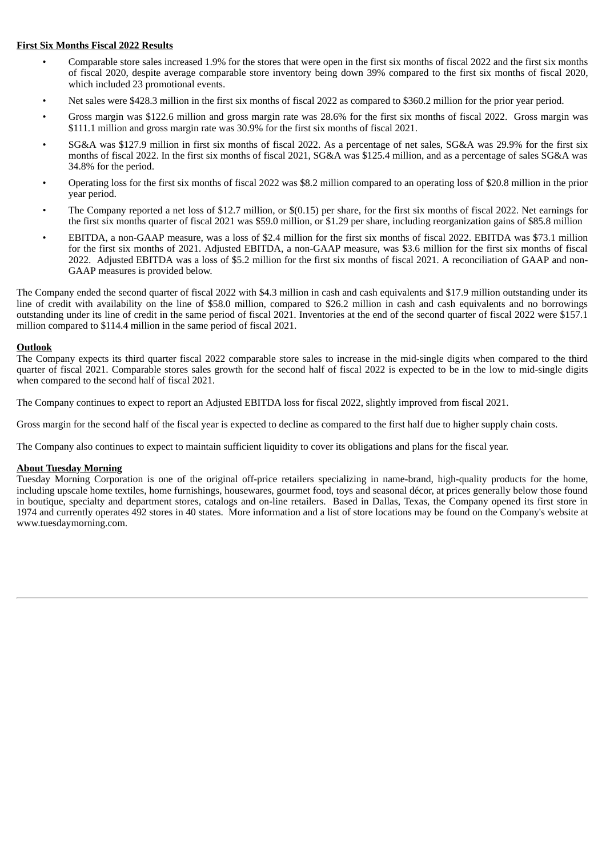#### **First Six Months Fiscal 2022 Results**

- Comparable store sales increased 1.9% for the stores that were open in the first six months of fiscal 2022 and the first six months of fiscal 2020, despite average comparable store inventory being down 39% compared to the first six months of fiscal 2020, which included 23 promotional events.
- Net sales were \$428.3 million in the first six months of fiscal 2022 as compared to \$360.2 million for the prior year period.
- Gross margin was \$122.6 million and gross margin rate was 28.6% for the first six months of fiscal 2022. Gross margin was \$111.1 million and gross margin rate was 30.9% for the first six months of fiscal 2021.
- SG&A was \$127.9 million in first six months of fiscal 2022. As a percentage of net sales, SG&A was 29.9% for the first six months of fiscal 2022. In the first six months of fiscal 2021, SG&A was \$125.4 million, and as a percentage of sales SG&A was 34.8% for the period.
- Operating loss for the first six months of fiscal 2022 was \$8.2 million compared to an operating loss of \$20.8 million in the prior year period.
- The Company reported a net loss of \$12.7 million, or \$(0.15) per share, for the first six months of fiscal 2022. Net earnings for the first six months quarter of fiscal 2021 was \$59.0 million, or \$1.29 per share, including reorganization gains of \$85.8 million
- EBITDA, a non-GAAP measure, was a loss of \$2.4 million for the first six months of fiscal 2022. EBITDA was \$73.1 million for the first six months of 2021. Adjusted EBITDA, a non-GAAP measure, was \$3.6 million for the first six months of fiscal 2022. Adjusted EBITDA was a loss of \$5.2 million for the first six months of fiscal 2021. A reconciliation of GAAP and non-GAAP measures is provided below.

The Company ended the second quarter of fiscal 2022 with \$4.3 million in cash and cash equivalents and \$17.9 million outstanding under its line of credit with availability on the line of \$58.0 million, compared to \$26.2 million in cash and cash equivalents and no borrowings outstanding under its line of credit in the same period of fiscal 2021. Inventories at the end of the second quarter of fiscal 2022 were \$157.1 million compared to \$114.4 million in the same period of fiscal 2021.

#### **Outlook**

The Company expects its third quarter fiscal 2022 comparable store sales to increase in the mid-single digits when compared to the third quarter of fiscal 2021. Comparable stores sales growth for the second half of fiscal 2022 is expected to be in the low to mid-single digits when compared to the second half of fiscal 2021.

The Company continues to expect to report an Adjusted EBITDA loss for fiscal 2022, slightly improved from fiscal 2021.

Gross margin for the second half of the fiscal year is expected to decline as compared to the first half due to higher supply chain costs.

The Company also continues to expect to maintain sufficient liquidity to cover its obligations and plans for the fiscal year.

#### **About Tuesday Morning**

Tuesday Morning Corporation is one of the original off-price retailers specializing in name-brand, high-quality products for the home, including upscale home textiles, home furnishings, housewares, gourmet food, toys and seasonal décor, at prices generally below those found in boutique, specialty and department stores, catalogs and on-line retailers. Based in Dallas, Texas, the Company opened its first store in 1974 and currently operates 492 stores in 40 states. More information and a list of store locations may be found on the Company's website at www.tuesdaymorning.com.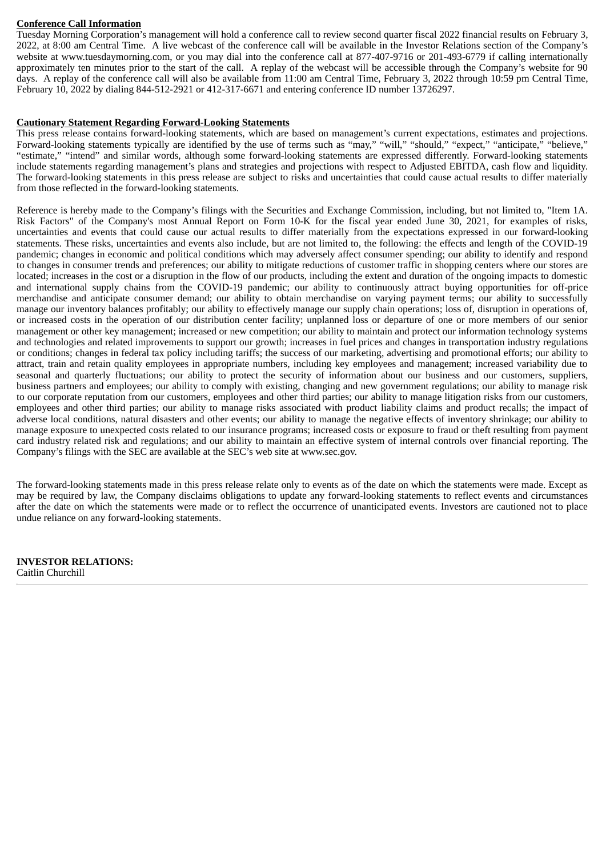#### **Conference Call Information**

Tuesday Morning Corporation's management will hold a conference call to review second quarter fiscal 2022 financial results on February 3, 2022, at 8:00 am Central Time. A live webcast of the conference call will be available in the Investor Relations section of the Company's website at www.tuesdaymorning.com, or you may dial into the conference call at 877-407-9716 or 201-493-6779 if calling internationally approximately ten minutes prior to the start of the call. A replay of the webcast will be accessible through the Company's website for 90 days. A replay of the conference call will also be available from 11:00 am Central Time, February 3, 2022 through 10:59 pm Central Time, February 10, 2022 by dialing 844-512-2921 or 412-317-6671 and entering conference ID number 13726297.

#### **Cautionary Statement Regarding Forward-Looking Statements**

This press release contains forward-looking statements, which are based on management's current expectations, estimates and projections. Forward-looking statements typically are identified by the use of terms such as "may," "will," "should," "expect," "anticipate," "believe," "estimate," "intend" and similar words, although some forward-looking statements are expressed differently. Forward-looking statements include statements regarding management's plans and strategies and projections with respect to Adjusted EBITDA, cash flow and liquidity. The forward-looking statements in this press release are subject to risks and uncertainties that could cause actual results to differ materially from those reflected in the forward-looking statements.

Reference is hereby made to the Company's filings with the Securities and Exchange Commission, including, but not limited to, "Item 1A. Risk Factors" of the Company's most Annual Report on Form 10-K for the fiscal year ended June 30, 2021, for examples of risks, uncertainties and events that could cause our actual results to differ materially from the expectations expressed in our forward-looking statements. These risks, uncertainties and events also include, but are not limited to, the following: the effects and length of the COVID-19 pandemic; changes in economic and political conditions which may adversely affect consumer spending; our ability to identify and respond to changes in consumer trends and preferences; our ability to mitigate reductions of customer traffic in shopping centers where our stores are located; increases in the cost or a disruption in the flow of our products, including the extent and duration of the ongoing impacts to domestic and international supply chains from the COVID-19 pandemic; our ability to continuously attract buying opportunities for off-price merchandise and anticipate consumer demand; our ability to obtain merchandise on varying payment terms; our ability to successfully manage our inventory balances profitably; our ability to effectively manage our supply chain operations; loss of, disruption in operations of, or increased costs in the operation of our distribution center facility; unplanned loss or departure of one or more members of our senior management or other key management; increased or new competition; our ability to maintain and protect our information technology systems and technologies and related improvements to support our growth; increases in fuel prices and changes in transportation industry regulations or conditions; changes in federal tax policy including tariffs; the success of our marketing, advertising and promotional efforts; our ability to attract, train and retain quality employees in appropriate numbers, including key employees and management; increased variability due to seasonal and quarterly fluctuations; our ability to protect the security of information about our business and our customers, suppliers, business partners and employees; our ability to comply with existing, changing and new government regulations; our ability to manage risk to our corporate reputation from our customers, employees and other third parties; our ability to manage litigation risks from our customers, employees and other third parties; our ability to manage risks associated with product liability claims and product recalls; the impact of adverse local conditions, natural disasters and other events; our ability to manage the negative effects of inventory shrinkage; our ability to manage exposure to unexpected costs related to our insurance programs; increased costs or exposure to fraud or theft resulting from payment card industry related risk and regulations; and our ability to maintain an effective system of internal controls over financial reporting. The Company's filings with the SEC are available at the SEC's web site at www.sec.gov.

The forward-looking statements made in this press release relate only to events as of the date on which the statements were made. Except as may be required by law, the Company disclaims obligations to update any forward-looking statements to reflect events and circumstances after the date on which the statements were made or to reflect the occurrence of unanticipated events. Investors are cautioned not to place undue reliance on any forward-looking statements.

**INVESTOR RELATIONS:** Caitlin Churchill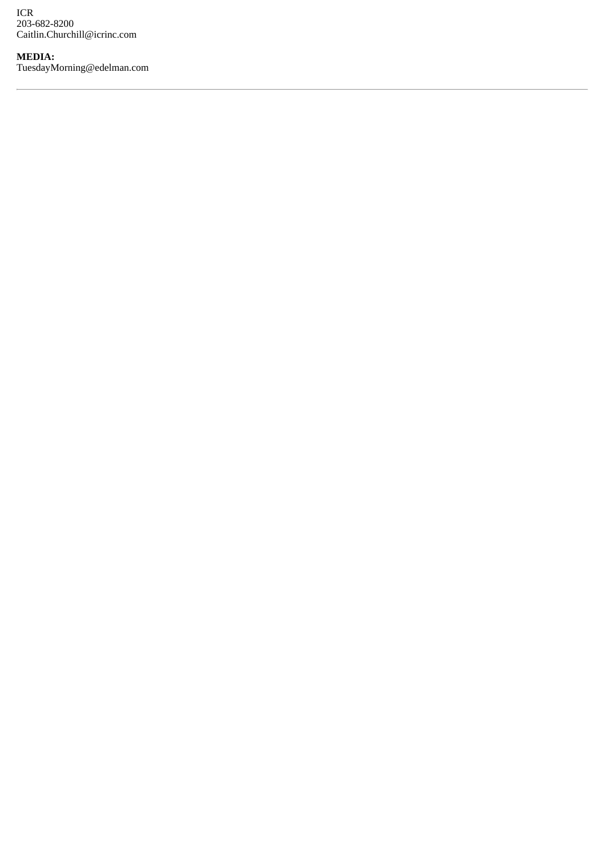ICR 203-682-8200 Caitlin.Churchill@icrinc.com

**MEDIA:** TuesdayMorning@edelman.com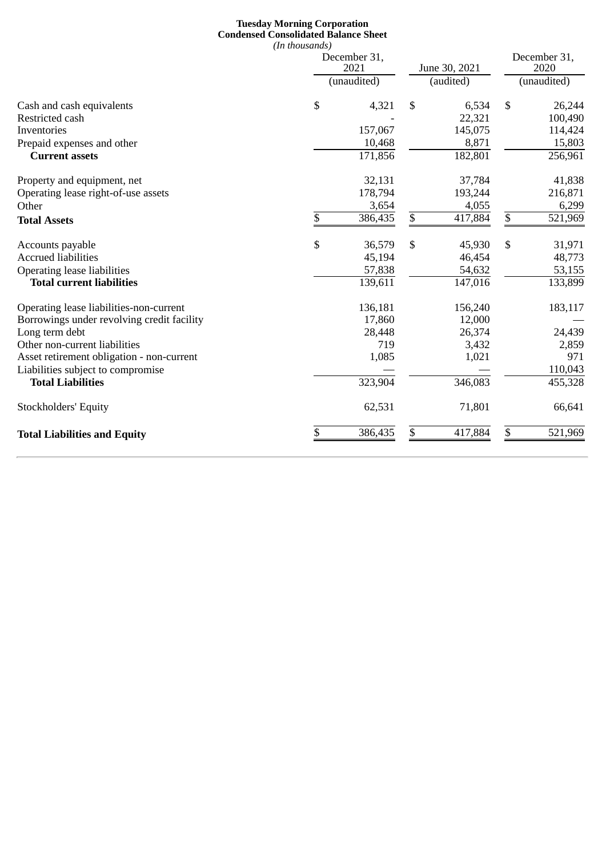#### **Tuesday Morning Corporation Condensed Consolidated Balance Sheet** *(In thousands)*

|                                            | December 31,<br>2021<br>(unaudited) |         |           | June 30, 2021 |             | December 31,<br>2020 |  |
|--------------------------------------------|-------------------------------------|---------|-----------|---------------|-------------|----------------------|--|
|                                            |                                     |         | (audited) |               | (unaudited) |                      |  |
| Cash and cash equivalents                  | \$                                  | 4,321   | \$        | 6,534         | \$          | 26,244               |  |
| Restricted cash                            |                                     |         |           | 22,321        |             | 100,490              |  |
| Inventories                                |                                     | 157,067 |           | 145,075       |             | 114,424              |  |
| Prepaid expenses and other                 |                                     | 10,468  |           | 8,871         |             | 15,803               |  |
| <b>Current assets</b>                      |                                     | 171,856 |           | 182,801       |             | 256,961              |  |
| Property and equipment, net                |                                     | 32,131  |           | 37,784        |             | 41,838               |  |
| Operating lease right-of-use assets        |                                     | 178,794 |           | 193,244       |             | 216,871              |  |
| Other                                      |                                     | 3,654   |           | 4,055         |             | 6,299                |  |
| <b>Total Assets</b>                        | \$                                  | 386,435 | \$        | 417,884       | \$          | 521,969              |  |
| Accounts payable                           | \$                                  | 36,579  | \$        | 45,930        | \$          | 31,971               |  |
| <b>Accrued liabilities</b>                 |                                     | 45,194  |           | 46,454        |             | 48,773               |  |
| <b>Operating lease liabilities</b>         |                                     | 57,838  |           | 54,632        |             | 53,155               |  |
| <b>Total current liabilities</b>           |                                     | 139,611 |           | 147,016       |             | 133,899              |  |
| Operating lease liabilities-non-current    |                                     | 136,181 |           | 156,240       |             | 183,117              |  |
| Borrowings under revolving credit facility |                                     | 17,860  |           | 12,000        |             |                      |  |
| Long term debt                             |                                     | 28,448  |           | 26,374        |             | 24,439               |  |
| Other non-current liabilities              |                                     | 719     |           | 3,432         |             | 2,859                |  |
| Asset retirement obligation - non-current  |                                     | 1,085   |           | 1,021         |             | 971                  |  |
| Liabilities subject to compromise          |                                     |         |           |               |             | 110,043              |  |
| <b>Total Liabilities</b>                   |                                     | 323,904 |           | 346,083       |             | 455,328              |  |
| <b>Stockholders' Equity</b>                |                                     | 62,531  |           | 71,801        |             | 66,641               |  |
| <b>Total Liabilities and Equity</b>        | \$                                  | 386,435 | \$        | 417,884       | \$          | 521,969              |  |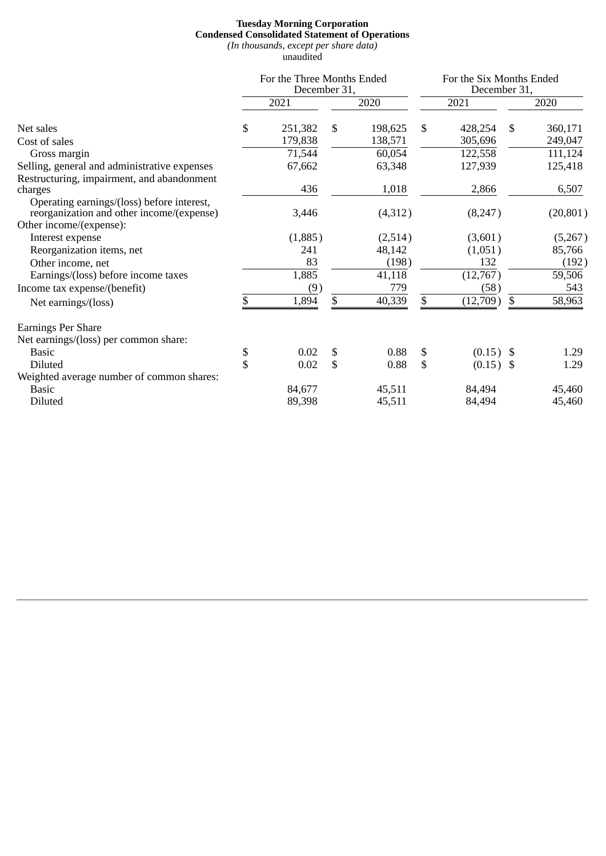#### **Tuesday Morning Corporation Condensed Consolidated Statement of Operations** *(In thousands, except per share data)*

unaudited

|                                                                                         | For the Three Months Ended<br>December 31, |         |    | For the Six Months Ended |    |             |     |           |
|-----------------------------------------------------------------------------------------|--------------------------------------------|---------|----|--------------------------|----|-------------|-----|-----------|
|                                                                                         |                                            |         |    | December 31,             |    |             |     |           |
|                                                                                         |                                            | 2021    |    | 2020                     |    | 2021        |     | 2020      |
| Net sales                                                                               | \$                                         | 251,382 | \$ | 198,625                  | \$ | 428,254     | \$. | 360,171   |
| Cost of sales                                                                           |                                            | 179,838 |    | 138,571                  |    | 305,696     |     | 249,047   |
| Gross margin                                                                            |                                            | 71,544  |    | 60,054                   |    | 122,558     |     | 111,124   |
| Selling, general and administrative expenses                                            |                                            | 67,662  |    | 63,348                   |    | 127,939     |     | 125,418   |
| Restructuring, impairment, and abandonment                                              |                                            |         |    |                          |    |             |     |           |
| charges                                                                                 |                                            | 436     |    | 1,018                    |    | 2,866       |     | 6,507     |
| Operating earnings/(loss) before interest,<br>reorganization and other income/(expense) |                                            | 3,446   |    | (4,312)                  |    | (8,247)     |     | (20, 801) |
| Other income/(expense):                                                                 |                                            |         |    |                          |    |             |     |           |
| Interest expense                                                                        |                                            | (1,885) |    | (2,514)                  |    | (3,601)     |     | (5,267)   |
| Reorganization items, net                                                               |                                            | 241     |    | 48,142                   |    | (1,051)     |     | 85,766    |
| Other income, net                                                                       |                                            | 83      |    | (198)                    |    | 132         |     | (192)     |
| Earnings/(loss) before income taxes                                                     |                                            | 1,885   |    | 41,118                   |    | (12,767)    |     | 59,506    |
| Income tax expense/(benefit)                                                            |                                            | (9)     |    | 779                      |    | (58)        |     | 543       |
| Net earnings/(loss)                                                                     | \$                                         | 1,894   | \$ | 40,339                   | \$ | (12,709)    | \$  | 58,963    |
| <b>Earnings Per Share</b>                                                               |                                            |         |    |                          |    |             |     |           |
| Net earnings/(loss) per common share:                                                   |                                            |         |    |                          |    |             |     |           |
| <b>Basic</b>                                                                            | \$                                         | 0.02    | \$ | 0.88                     | \$ | $(0.15)$ \$ |     | 1.29      |
| <b>Diluted</b>                                                                          | \$                                         | 0.02    | \$ | 0.88                     | \$ | $(0.15)$ \$ |     | 1.29      |
| Weighted average number of common shares:                                               |                                            |         |    |                          |    |             |     |           |
| <b>Basic</b>                                                                            |                                            | 84,677  |    | 45,511                   |    | 84,494      |     | 45,460    |
| Diluted                                                                                 |                                            | 89,398  |    | 45,511                   |    | 84,494      |     | 45,460    |
|                                                                                         |                                            |         |    |                          |    |             |     |           |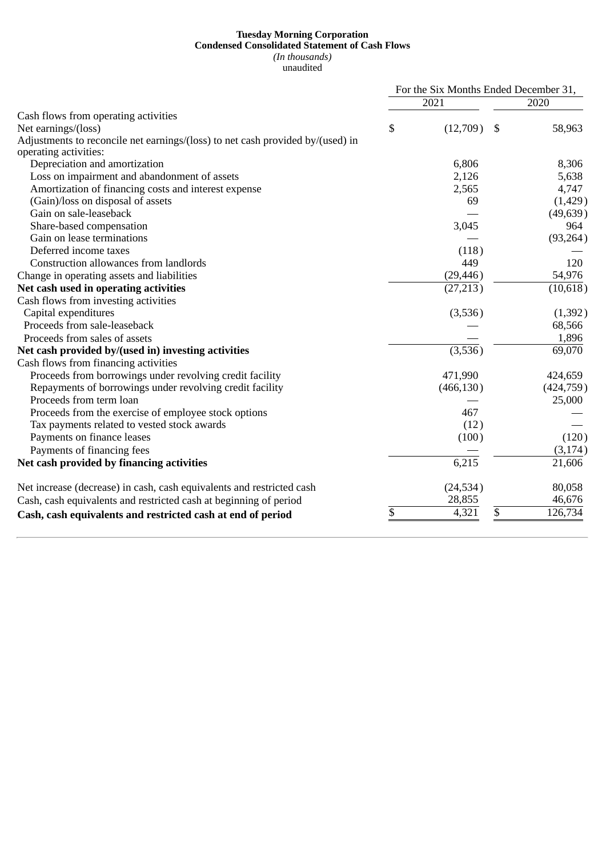#### **Tuesday Morning Corporation Condensed Consolidated Statement of Cash Flows** *(In thousands)* unaudited

|                                                                                |                |      | For the Six Months Ended December 31, |  |  |
|--------------------------------------------------------------------------------|----------------|------|---------------------------------------|--|--|
|                                                                                | 2021           | 2020 |                                       |  |  |
| Cash flows from operating activities                                           |                |      |                                       |  |  |
| Net earnings/(loss)                                                            | \$<br>(12,709) | S    | 58,963                                |  |  |
| Adjustments to reconcile net earnings/(loss) to net cash provided by/(used) in |                |      |                                       |  |  |
| operating activities:                                                          |                |      |                                       |  |  |
| Depreciation and amortization                                                  | 6,806          |      | 8,306                                 |  |  |
| Loss on impairment and abandonment of assets                                   | 2,126          |      | 5,638                                 |  |  |
| Amortization of financing costs and interest expense                           | 2,565          |      | 4,747                                 |  |  |
| (Gain)/loss on disposal of assets                                              | 69             |      | (1,429)                               |  |  |
| Gain on sale-leaseback                                                         |                |      | (49, 639)                             |  |  |
| Share-based compensation                                                       | 3,045          |      | 964                                   |  |  |
| Gain on lease terminations                                                     |                |      | (93, 264)                             |  |  |
| Deferred income taxes                                                          | (118)          |      |                                       |  |  |
| Construction allowances from landlords                                         | 449            |      | 120                                   |  |  |
| Change in operating assets and liabilities                                     | (29, 446)      |      | 54,976                                |  |  |
| Net cash used in operating activities                                          | (27, 213)      |      | (10, 618)                             |  |  |
| Cash flows from investing activities                                           |                |      |                                       |  |  |
| Capital expenditures                                                           | (3,536)        |      | (1, 392)                              |  |  |
| Proceeds from sale-leaseback                                                   |                |      | 68,566                                |  |  |
| Proceeds from sales of assets                                                  |                |      | 1,896                                 |  |  |
| Net cash provided by/(used in) investing activities                            | (3,536)        |      | 69,070                                |  |  |
| Cash flows from financing activities                                           |                |      |                                       |  |  |
| Proceeds from borrowings under revolving credit facility                       | 471,990        |      | 424,659                               |  |  |
| Repayments of borrowings under revolving credit facility                       | (466, 130)     |      | (424, 759)                            |  |  |
| Proceeds from term loan                                                        |                |      | 25,000                                |  |  |
| Proceeds from the exercise of employee stock options                           | 467            |      |                                       |  |  |
| Tax payments related to vested stock awards                                    | (12)           |      |                                       |  |  |
| Payments on finance leases                                                     | (100)          |      | (120)                                 |  |  |
| Payments of financing fees                                                     |                |      | (3, 174)                              |  |  |
| Net cash provided by financing activities                                      | 6,215          |      | 21,606                                |  |  |
|                                                                                |                |      |                                       |  |  |
| Net increase (decrease) in cash, cash equivalents and restricted cash          | (24, 534)      |      | 80,058                                |  |  |
| Cash, cash equivalents and restricted cash at beginning of period              | 28,855         |      | 46,676                                |  |  |
| Cash, cash equivalents and restricted cash at end of period                    | \$<br>4,321    | \$   | 126,734                               |  |  |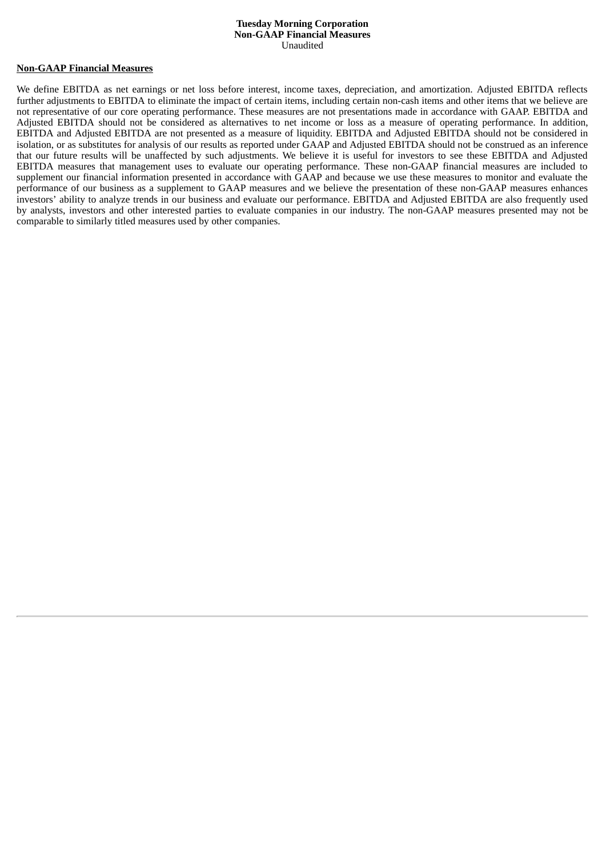#### **Tuesday Morning Corporation Non-GAAP Financial Measures** Unaudited

#### **Non-GAAP Financial Measures**

We define EBITDA as net earnings or net loss before interest, income taxes, depreciation, and amortization. Adjusted EBITDA reflects further adjustments to EBITDA to eliminate the impact of certain items, including certain non-cash items and other items that we believe are not representative of our core operating performance. These measures are not presentations made in accordance with GAAP. EBITDA and Adjusted EBITDA should not be considered as alternatives to net income or loss as a measure of operating performance. In addition, EBITDA and Adjusted EBITDA are not presented as a measure of liquidity. EBITDA and Adjusted EBITDA should not be considered in isolation, or as substitutes for analysis of our results as reported under GAAP and Adjusted EBITDA should not be construed as an inference that our future results will be unaffected by such adjustments. We believe it is useful for investors to see these EBITDA and Adjusted EBITDA measures that management uses to evaluate our operating performance. These non-GAAP financial measures are included to supplement our financial information presented in accordance with GAAP and because we use these measures to monitor and evaluate the performance of our business as a supplement to GAAP measures and we believe the presentation of these non-GAAP measures enhances investors' ability to analyze trends in our business and evaluate our performance. EBITDA and Adjusted EBITDA are also frequently used by analysts, investors and other interested parties to evaluate companies in our industry. The non-GAAP measures presented may not be comparable to similarly titled measures used by other companies.